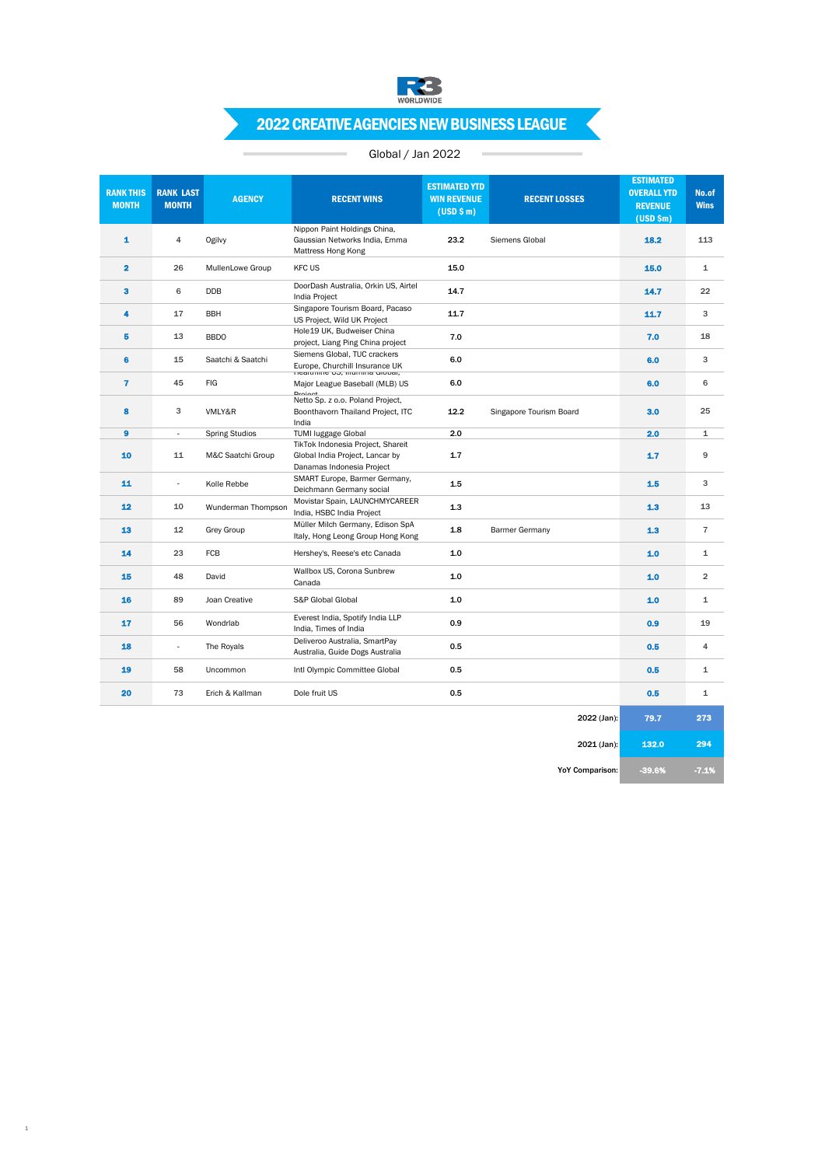

# 2022 CREATIVE AGENCIES NEW BUSINESS LEAGUE

## Global / Jan 2022

 $\sim$ 

| <b>RANK THIS</b><br><b>MONTH</b> | <b>RANK LAST</b><br><b>MONTH</b> | <b>AGENCY</b>         | <b>RECENT WINS</b>                                                                                | <b>ESTIMATED YTD</b><br><b>WIN REVENUE</b><br>(USD \$m) | <b>RECENT LOSSES</b>    | <b>ESTIMATED</b><br><b>OVERALL YTD</b><br><b>REVENUE</b><br>$(USD$ \$m) | No.of<br><b>Wins</b> |
|----------------------------------|----------------------------------|-----------------------|---------------------------------------------------------------------------------------------------|---------------------------------------------------------|-------------------------|-------------------------------------------------------------------------|----------------------|
| 1                                | $\overline{4}$                   | Ogilvy                | Nippon Paint Holdings China,<br>Gaussian Networks India, Emma<br>Mattress Hong Kong               | 23.2                                                    | Siemens Global          | 18.2                                                                    | 113                  |
| $\overline{\mathbf{2}}$          | 26                               | MullenLowe Group      | <b>KFC US</b>                                                                                     | 15.0                                                    |                         | 15.0                                                                    | 1                    |
| 3                                | 6                                | <b>DDB</b>            | DoorDash Australia, Orkin US, Airtel<br>India Project                                             | 14.7                                                    |                         | 14.7                                                                    | 22                   |
| 4                                | 17                               | <b>BBH</b>            | Singapore Tourism Board, Pacaso<br>US Project, Wild UK Project                                    | 11.7                                                    |                         | 11.7                                                                    | 3                    |
| 5                                | 13                               | <b>BBDO</b>           | Hole19 UK, Budweiser China<br>project, Liang Ping China project                                   | 7.0                                                     |                         | 7.0                                                                     | 18                   |
| 6                                | 15                               | Saatchi & Saatchi     | Siemens Global, TUC crackers<br>Europe, Churchill Insurance UK<br>meaitmine US, intimina Giobal,  | 6.0                                                     |                         | 6.0                                                                     | 3                    |
| $\overline{\mathbf{r}}$          | 45                               | <b>FIG</b>            | Major League Baseball (MLB) US                                                                    | 6.0                                                     |                         | 6.0                                                                     | 6                    |
| 8                                | 3                                | VMLY&R                | Droinnt<br>Netto Sp. z o.o. Poland Project,<br>Boonthavorn Thailand Project, ITC<br>India         | 12.2                                                    | Singapore Tourism Board | 3.0                                                                     | 25                   |
| 9                                | $\sim$                           | <b>Spring Studios</b> | <b>TUMI luggage Global</b>                                                                        | 2.0                                                     |                         | 2.0                                                                     | $\mathbf{1}$         |
| 10                               | 11                               | M&C Saatchi Group     | TikTok Indonesia Project, Shareit<br>Global India Project, Lancar by<br>Danamas Indonesia Project | 1.7                                                     |                         | 1.7                                                                     | 9                    |
| 11                               | $\sim$                           | Kolle Rebbe           | SMART Europe, Barmer Germany,<br>Deichmann Germany social                                         | 1.5                                                     |                         | 1.5                                                                     | 3                    |
| 12                               | 10                               | Wunderman Thompson    | Movistar Spain, LAUNCHMYCAREER<br>India, HSBC India Project                                       | 1.3                                                     |                         | 1.3                                                                     | 13                   |
| 13                               | 12                               | <b>Grey Group</b>     | Müller Milch Germany, Edison SpA<br>Italy, Hong Leong Group Hong Kong                             | 1.8                                                     | <b>Barmer Germany</b>   | 1.3                                                                     | $\overline{7}$       |
| 14                               | 23                               | FCB                   | Hershey's, Reese's etc Canada                                                                     | 1.0                                                     |                         | 1.0                                                                     | 1                    |
| 15                               | 48                               | David                 | Wallbox US, Corona Sunbrew<br>Canada                                                              | 1.0                                                     |                         | 1.0                                                                     | $\overline{2}$       |
| 16                               | 89                               | Joan Creative         | S&P Global Global                                                                                 | 1.0                                                     |                         | 1.0                                                                     | $\mathbf 1$          |
| 17                               | 56                               | Wondrlab              | Everest India, Spotify India LLP<br>India, Times of India                                         | 0.9                                                     |                         | 0.9                                                                     | 19                   |
| 18                               | $\sim$                           | The Royals            | Deliveroo Australia, SmartPay<br>Australia, Guide Dogs Australia                                  | 0.5                                                     |                         | 0.5                                                                     | 4                    |
| 19                               | 58                               | Uncommon              | Intl Olympic Committee Global                                                                     | 0.5                                                     |                         | 0.5                                                                     | 1                    |
| 20                               | 73                               | Erich & Kallman       | Dole fruit US                                                                                     | 0.5                                                     |                         | 0.5                                                                     | 1                    |
|                                  |                                  |                       |                                                                                                   |                                                         | 2022 (Jan):             | 79.7                                                                    | 273                  |

1

2021 (Jan): **132.0** 294

YoY Comparison: -39.6% -7.1%